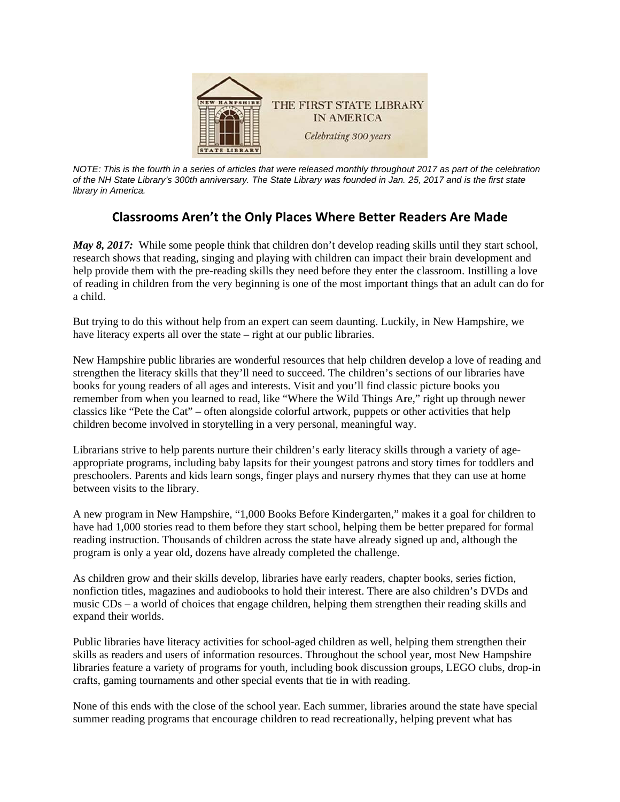

*NOTE: This is the fourth in a series of articles that were released monthly throughout 2017 as part of the celebration* of the NH State Library's 300th anniversary. The State Library was founded in Jan. 25, 2017 and is the first state *library in A merica.* 

## **C Classrooms s Aren't th he Only Pla aces Wher re Better R Readers Ar re Made**

*May 8, 2017*: While some people think that children don't develop reading skills until they start school, research shows that reading, singing and playing with children can impact their brain development and help provide them with the pre-reading skills they need before they enter the classroom. Instilling a love of reading in children from the very beginning is one of the most important things that an adult can do for a child.

But trying to do this without help from an expert can seem daunting. Luckily, in New Hampshire, we have literacy experts all over the state – right at our public libraries. But trying to do this without help from an expert can seem daunting. Luckily, in New Hampshire, we<br>have literacy experts all over the state – right at our public libraries.<br>New Hampshire public libraries are wonderful reso

strengthen the literacy skills that they'll need to succeed. The children's sections of our libraries have books for young readers of all ages and interests. Visit and you'll find classic picture books you strengthen the literacy skills that they'll need to succeed. The children's sections of our libraries have<br>books for young readers of all ages and interests. Visit and you'll find classic picture books you<br>remember from wh classics like "Pete the Cat" – often alongside colorful artwork, puppets or other activities that help children become involved in storytelling in a very personal, meaningful way.

Librarians strive to help parents nurture their children's early literacy skills through a variety of ageappropriate programs, including baby lapsits for their youngest patrons and story times for toddlers and preschoolers. Parents and kids learn songs, finger plays and nursery rhymes that they can use at home between visits to the library.

A new program in New Hampshire, "1,000 Books Before Kindergarten," makes it a goal for children to have had 1,000 stories read to them before they start school, helping them be better prepared for formal reading instruction. Thousands of children across the state have already signed up and, although the program is only a year old, dozens have already completed the challenge.

As children grow and their skills develop, libraries have early readers, chapter books, series fiction, nonfiction titles, magazines and audiobooks to hold their interest. There are also children's DVDs and music CDs – a world of choices that engage children, helping them strengthen their reading skills and expand their worlds.

Public libraries have literacy activities for school-aged children as well, helping them strengthen their skills as readers and users of information resources. Throughout the school year, most New Hampshire libraries feature a variety of programs for youth, including book discussion groups, LEGO clubs, drop-in crafts, gaming tournaments and other special events that tie in with reading.

None of this ends with the close of the school year. Each summer, libraries around the state have special summer reading programs that encourage children to read recreationally, helping prevent what has